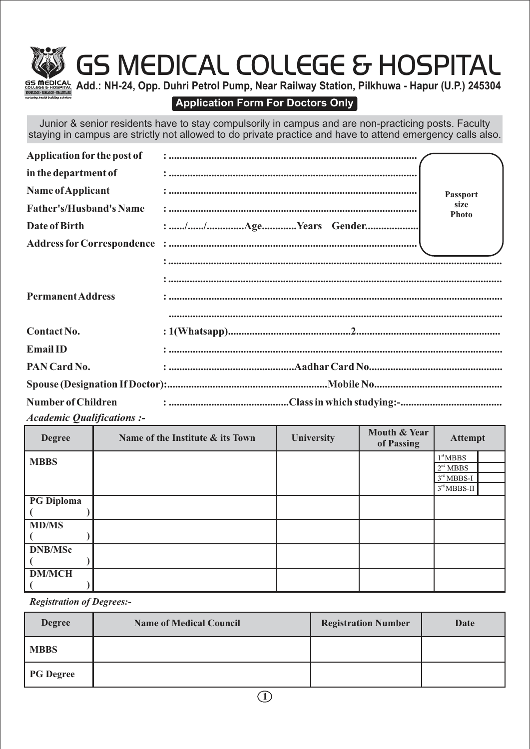# GS MEDICAL COLLEGE & HOSPITAL



**Add.: NH-24, Opp. Duhri Petrol Pump, Near Railway Station, Pilkhuwa - Hapur (U.P.) 245304**

### **Application Form For Doctors Only**

Junior & senior residents have to stay compulsorily in campus and are non-practicing posts. Faculty staying in campus are strictly not allowed to do private practice and have to attend emergency calls also.

| Application for the post of    |                      |
|--------------------------------|----------------------|
| in the department of           |                      |
| Name of Applicant              | <b>Passport</b>      |
| <b>Father's/Husband's Name</b> | size<br><b>Photo</b> |
| Date of Birth                  |                      |
|                                |                      |
|                                |                      |
|                                |                      |
| <b>Permanent Address</b>       |                      |
|                                |                      |
| Contact No.                    |                      |
| <b>Email ID</b>                |                      |
| PAN Card No.                   |                      |
|                                |                      |
| <b>Number of Children</b>      |                      |

*Academic Qualifications :-*

| <b>Degree</b>     | Name of the Institute & its Town | <b>University</b> | Mouth & Year<br>of Passing | <b>Attempt</b>       |  |
|-------------------|----------------------------------|-------------------|----------------------------|----------------------|--|
| <b>MBBS</b>       |                                  |                   |                            | $1^{\text{st}}$ MBBS |  |
|                   |                                  |                   |                            | 2 <sup>nd</sup> MBBS |  |
|                   |                                  |                   |                            | $3rd MBBS-I$         |  |
|                   |                                  |                   |                            | $3rd MBBS-II$        |  |
| <b>PG Diploma</b> |                                  |                   |                            |                      |  |
|                   |                                  |                   |                            |                      |  |
| <b>MD/MS</b>      |                                  |                   |                            |                      |  |
|                   |                                  |                   |                            |                      |  |
| <b>DNB/MSc</b>    |                                  |                   |                            |                      |  |
|                   |                                  |                   |                            |                      |  |
| <b>DM/MCH</b>     |                                  |                   |                            |                      |  |
|                   |                                  |                   |                            |                      |  |

*Registration of Degrees:-*

| <b>Degree</b>    | <b>Name of Medical Council</b> | <b>Registration Number</b> | Date |
|------------------|--------------------------------|----------------------------|------|
| <b>MBBS</b>      |                                |                            |      |
| <b>PG</b> Degree |                                |                            |      |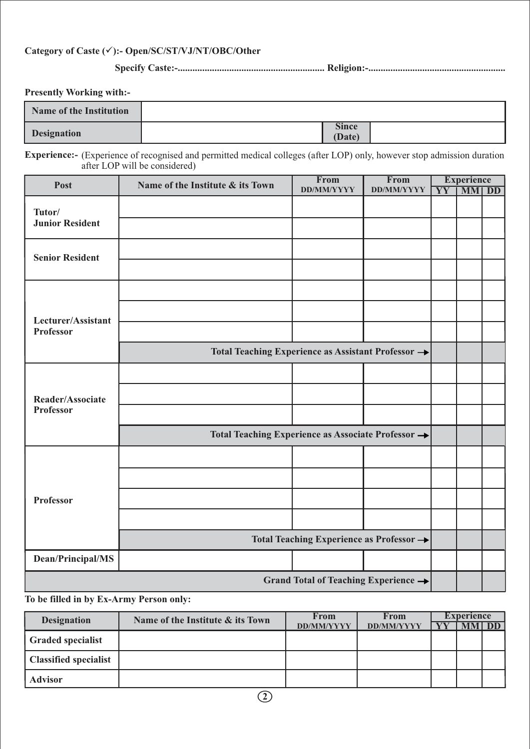#### **Category of Caste (**ü**):- Open/SC/ST/VJ/NT/OBC/Other**

**Specify Caste:-............................................................ Religion:-........................................................**

**Presently Working with:-**

| <b>Name of the Institution</b> |                        |  |
|--------------------------------|------------------------|--|
| <b>Designation</b>             | <b>Since</b><br>(Date) |  |

**Experience:-** (Experience of recognised and permitted medical colleges (after LOP) only, however stop admission duration after LOP will be considered)

| Post                             | Name of the Institute & its Town                   | From                                             | From              | <b>Experience</b> |              |  |
|----------------------------------|----------------------------------------------------|--------------------------------------------------|-------------------|-------------------|--------------|--|
|                                  |                                                    | <b>DD/MM/YYYY</b>                                | <b>DD/MM/YYYY</b> |                   | YY   MM   DD |  |
| Tutor/<br><b>Junior Resident</b> |                                                    |                                                  |                   |                   |              |  |
|                                  |                                                    |                                                  |                   |                   |              |  |
| <b>Senior Resident</b>           |                                                    |                                                  |                   |                   |              |  |
|                                  |                                                    |                                                  |                   |                   |              |  |
|                                  |                                                    |                                                  |                   |                   |              |  |
|                                  |                                                    |                                                  |                   |                   |              |  |
| Lecturer/Assistant               |                                                    |                                                  |                   |                   |              |  |
| <b>Professor</b>                 |                                                    |                                                  |                   |                   |              |  |
|                                  | Total Teaching Experience as Assistant Professor → |                                                  |                   |                   |              |  |
|                                  |                                                    |                                                  |                   |                   |              |  |
|                                  |                                                    |                                                  |                   |                   |              |  |
| Reader/Associate                 |                                                    |                                                  |                   |                   |              |  |
| <b>Professor</b>                 |                                                    |                                                  |                   |                   |              |  |
|                                  | Total Teaching Experience as Associate Professor → |                                                  |                   |                   |              |  |
|                                  |                                                    |                                                  |                   |                   |              |  |
|                                  |                                                    |                                                  |                   |                   |              |  |
| <b>Professor</b>                 |                                                    |                                                  |                   |                   |              |  |
|                                  |                                                    |                                                  |                   |                   |              |  |
|                                  |                                                    | Total Teaching Experience as Professor →         |                   |                   |              |  |
| Dean/Principal/MS                |                                                    |                                                  |                   |                   |              |  |
|                                  |                                                    | Grand Total of Teaching Experience $\rightarrow$ |                   |                   |              |  |

**To be filled in by Ex-Army Person only:**

| <b>Designation</b>       | Name of the Institute & its Town | <b>From</b>       | From              | <b>Experience</b> |  |      |
|--------------------------|----------------------------------|-------------------|-------------------|-------------------|--|------|
|                          |                                  | <b>DD/MM/YYYY</b> | <b>DD/MM/YYYY</b> |                   |  | A DP |
| <b>Graded specialist</b> |                                  |                   |                   |                   |  |      |
| Classified specialist    |                                  |                   |                   |                   |  |      |
| <b>Advisor</b>           |                                  |                   |                   |                   |  |      |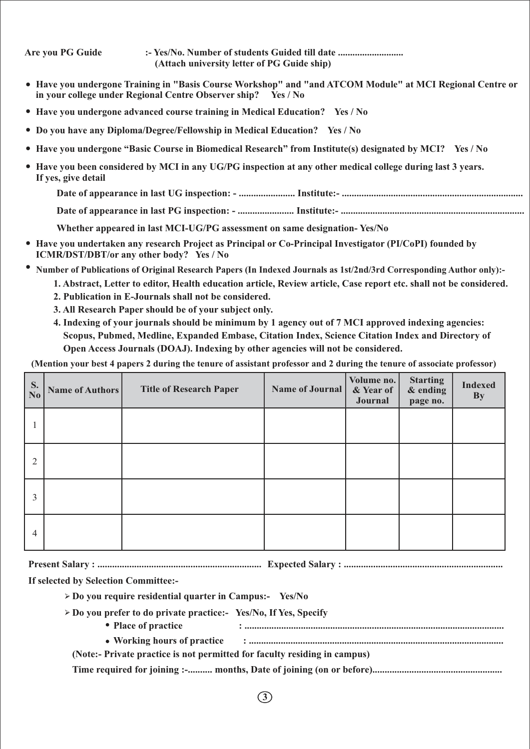| Are you PG Guide    | :- Yes/No. Number of students Guided till date<br>(Attach university letter of PG Guide ship)                                                                              |
|---------------------|----------------------------------------------------------------------------------------------------------------------------------------------------------------------------|
|                     | • Have you undergone Training in "Basis Course Workshop" and "and ATCOM Module" at MCI Regional Centre or<br>in your college under Regional Centre Observer ship? Yes / No |
|                     | • Have you undergone advanced course training in Medical Education? Yes / No                                                                                               |
|                     | • Do you have any Diploma/Degree/Fellowship in Medical Education? Yes / No                                                                                                 |
|                     | • Have you undergone "Basic Course in Biomedical Research" from Institute(s) designated by MCI? Yes / No                                                                   |
| If yes, give detail | • Have you been considered by MCI in any UG/PG inspection at any other medical college during last 3 years.                                                                |
|                     |                                                                                                                                                                            |
|                     |                                                                                                                                                                            |

**Whether appeared in last MCI-UG/PG assessment on same designation- Yes/No**

- **Have you undertaken any research Project as Principal or Co-Principal Investigator (PI/CoPI) founded by ICMR/DST/DBT/or any other body? Yes / No**
- **Number of Publications of Original Research Papers (In Indexed Journals as 1st/2nd/3rd Corresponding Author only):-**
	- **1. Abstract, Letter to editor, Health education article, Review article, Case report etc. shall not be considered.**
	- **2. Publication in E-Journals shall not be considered.**
	- **3. All Research Paper should be of your subject only.**
	- **4. Indexing of your journals should be minimum by 1 agency out of 7 MCI approved indexing agencies: Scopus, Pubmed, Medline, Expanded Embase, Citation Index, Science Citation Index and Directory of Open Access Journals (DOAJ). Indexing by other agencies will not be considered.**

**(Mention your best 4 papers 2 during the tenure of assistant professor and 2 during the tenure of associate professor)**

| S.<br>$\overline{\text{No}}$ | Name of Authors | <b>Title of Research Paper</b> | Name of Journal | Volume no.<br>& Year of<br>Journal | <b>Starting</b><br>& ending<br>page no. | <b>Indexed</b><br><b>By</b> |
|------------------------------|-----------------|--------------------------------|-----------------|------------------------------------|-----------------------------------------|-----------------------------|
|                              |                 |                                |                 |                                    |                                         |                             |
| $\overline{2}$               |                 |                                |                 |                                    |                                         |                             |
| 3                            |                 |                                |                 |                                    |                                         |                             |
| $\overline{4}$               |                 |                                |                 |                                    |                                         |                             |

**Present Salary : ................................................................... Expected Salary : .................................................................**

**If selected by Selection Committee:-**

- **Do you require residential quarter in Campus:- Yes/No**
- **Do you prefer to do private practice:- Yes/No, If Yes, Specify**
	- **Place of practice : ..........................................................................................................**
	- Working hours of practice **influentier and the control** of the state of practice inter-
	- **(Note:- Private practice is not permitted for faculty residing in campus)**

**Time required for joining :-.......... months, Date of joining (on or before).....................................................**

**3**